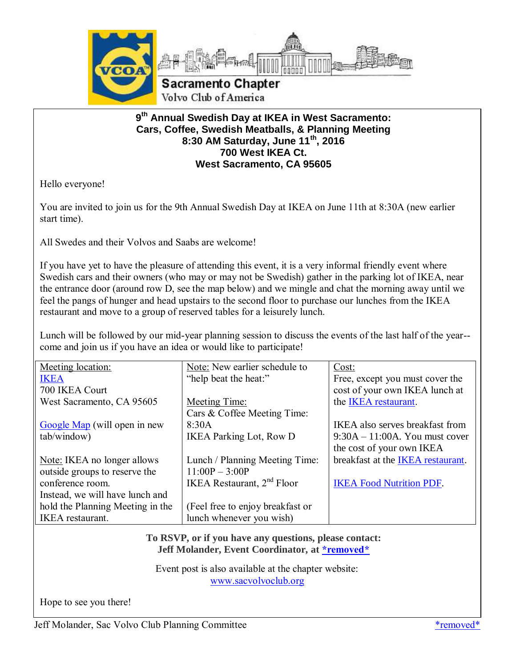

### **9 th Annual Swedish Day at IKEA in West Sacramento: Cars, Coffee, Swedish Meatballs, & Planning Meeting 8:30 AM Saturday, June 11th, 2016 700 West IKEA Ct. West Sacramento, CA 95605**

Hello everyone!

You are invited to join us for the 9th Annual Swedish Day at IKEA on June 11th at 8:30A (new earlier start time).

All Swedes and their Volvos and Saabs are welcome!

If you have yet to have the pleasure of attending this event, it is a very informal friendly event where Swedish cars and their owners (who may or may not be Swedish) gather in the parking lot of IKEA, near the entrance door (around row D, see the map below) and we mingle and chat the morning away until we feel the pangs of hunger and head upstairs to the second floor to purchase our lunches from the IKEA restaurant and move to a group of reserved tables for a leisurely lunch.

Lunch will be followed by our mid-year planning session to discuss the events of the last half of the year- come and join us if you have an idea or would like to participate!

| Meeting location:                | Note: New earlier schedule to    | Cost:                                  |
|----------------------------------|----------------------------------|----------------------------------------|
| <b>IKEA</b>                      | "help beat the heat:"            | Free, except you must cover the        |
| 700 IKEA Court                   |                                  | cost of your own IKEA lunch at         |
| West Sacramento, CA 95605        | Meeting Time:                    | the IKEA restaurant.                   |
|                                  | Cars & Coffee Meeting Time:      |                                        |
| Google Map (will open in new     | 8:30A                            | <b>IKEA</b> also serves breakfast from |
| tab/window)                      | <b>IKEA Parking Lot, Row D</b>   | $9:30A - 11:00A$ . You must cover      |
|                                  |                                  | the cost of your own IKEA              |
| Note: IKEA no longer allows      | Lunch / Planning Meeting Time:   | breakfast at the IKEA restaurant.      |
| outside groups to reserve the    | $11:00P - 3:00P$                 |                                        |
| conference room.                 | IKEA Restaurant, $2nd$ Floor     | <b>IKEA Food Nutrition PDF.</b>        |
| Instead, we will have lunch and  |                                  |                                        |
| hold the Planning Meeting in the | (Feel free to enjoy breakfast or |                                        |
| <b>IKEA</b> restaurant.          | lunch whenever you wish)         |                                        |
|                                  |                                  |                                        |

**To RSVP, or if you have any questions, please contact: Jeff Molander, Event Coordinator, at [\\*removed\\*](mailto:sacvolvoclub@sbcglobal.net)**

Event post is also available at the chapter website: [www.sacvolvoclub.org](http://www.sacvolvoclub.org/)

Hope to see you there!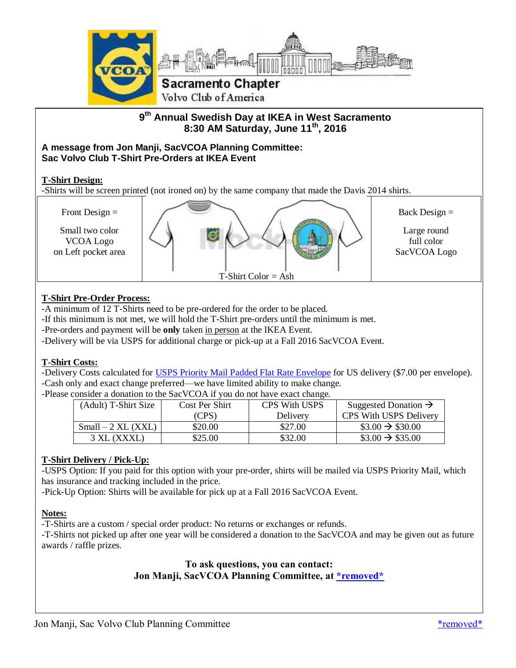

**9 th Annual Swedish Day at IKEA in West Sacramento 8:30 AM Saturday, June 11th, 2016**

#### **A message from Jon Manji, SacVCOA Planning Committee: Sac Volvo Club T-Shirt Pre-Orders at IKEA Event**

#### **T-Shirt Design:**

-Shirts will be screen printed (not ironed on) by the same company that made the Davis 2014 shirts.



### **T-Shirt Pre-Order Process:**

-A minimum of 12 T-Shirts need to be pre-ordered for the order to be placed.

- -If this minimum is not met, we will hold the T-Shirt pre-orders until the minimum is met.
- -Pre-orders and payment will be **only** taken in person at the IKEA Event.
- -Delivery will be via USPS for additional charge or pick-up at a Fall 2016 SacVCOA Event.

#### **T-Shirt Costs:**

-Delivery Costs calculated for [USPS Priority Mail Padded Flat Rate Envelope](https://postcalc.usps.com/PopUps/PMPaddedFREnv.htm) for US delivery (\$7.00 per envelope). -Cash only and exact change preferred—we have limited ability to make change.

-Please consider a donation to the SacVCOA if you do not have exact change.

| (Adult) T-Shirt Size | Cost Per Shirt | <b>CPS With USPS</b> | Suggested Donation $\rightarrow$ |
|----------------------|----------------|----------------------|----------------------------------|
|                      | (CPS)          | Delivery             | CPS With USPS Delivery           |
| $Small - 2 XL (XXL)$ | \$20.00        | \$27.00              | $\$3.00 \rightarrow \$30.00$     |
| 3 XL (XXXL)          | \$25.00        | \$32.00              | $\$3.00 \rightarrow \$35.00$     |

#### **T-Shirt Delivery / Pick-Up:**

-USPS Option: If you paid for this option with your pre-order, shirts will be mailed via USPS Priority Mail, which has insurance and tracking included in the price.

-Pick-Up Option: Shirts will be available for pick up at a Fall 2016 SacVCOA Event.

#### **Notes:**

-T-Shirts are a custom / special order product: No returns or exchanges or refunds.

-T-Shirts not picked up after one year will be considered a donation to the SacVCOA and may be given out as future awards / raffle prizes.

> **To ask questions, you can contact: Jon Manji, SacVCOA Planning Committee, at [\\*removed\\*](mailto:j.y.m@sbcglobal.net)**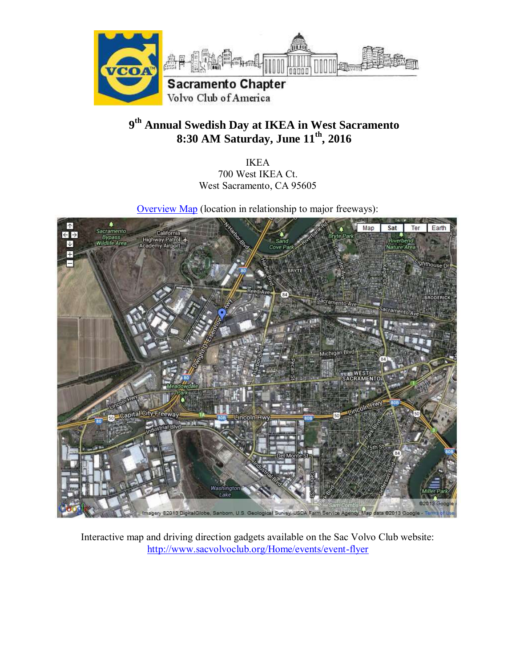

# **9 th Annual Swedish Day at IKEA in West Sacramento 8:30 AM Saturday, June 11th, 2016**

IKEA 700 West IKEA Ct. West Sacramento, CA 95605

[Overview Map](https://maps.google.com/maps/ms?ie=UTF8&hl=en&msa=0&msid=215264337018101684740.0004878c22eb23e67c31d&t=h&ll=38.581587,-121.5481&spn=0.040257,0.068579&z=14) (location in relationship to major freeways):



Interactive map and driving direction gadgets available on the Sac Volvo Club website: <http://www.sacvolvoclub.org/Home/events/event-flyer>